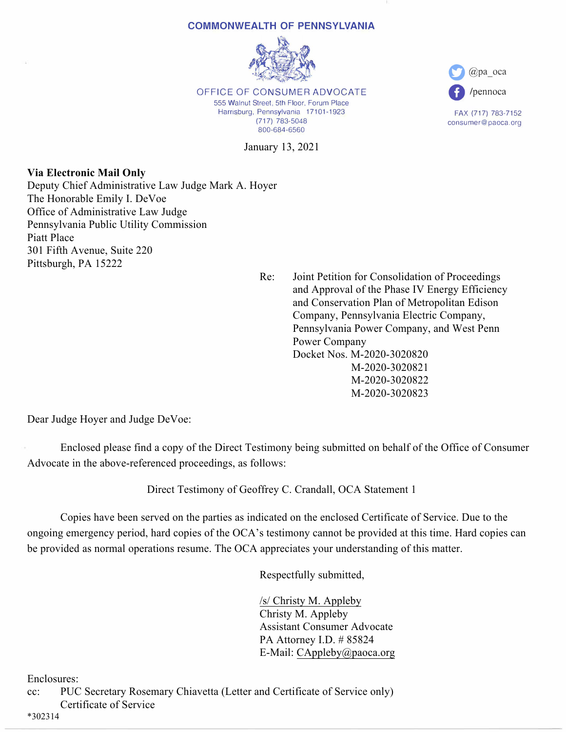## **COMMONWEALTH OF PENNSYLVANIA**



OFFICE OF CONSUMER ADVOCATE 555 Walnut Street, 5th Floor, Forum Place Harrisburg, Pennsylvania 17101-1923 (717) 783-5048 800-684-6560

January 13, 2021

**Via Electronic Mail Only** Deputy Chief Administrative Law Judge Mark A. Hoyer The Honorable Emily I. DeVoe Office of Administrative Law Judge Pennsylvania Public Utility Commission Piatt Place 301 Fifth Avenue, Suite 220 Pittsburgh, PA 15222

 Re: Joint Petition for Consolidation of Proceedings and Approval of the Phase IV Energy Efficiency and Conservation Plan of Metropolitan Edison Company, Pennsylvania Electric Company, Pennsylvania Power Company, and West Penn Power Company Docket Nos. M-2020-3020820 M-2020-3020821 M-2020-3020822 M-2020-3020823

**0** @pa\_oca

**0** /pennoca

FAX (717) 783-7152 consumer@paoca.org

Dear Judge Hoyer and Judge DeVoe:

 Enclosed please find a copy of the Direct Testimony being submitted on behalf of the Office of Consumer Advocate in the above-referenced proceedings, as follows:

Direct Testimony of Geoffrey C. Crandall, OCA Statement 1

 Copies have been served on the parties as indicated on the enclosed Certificate of Service. Due to the ongoing emergency period, hard copies of the OCA's testimony cannot be provided at this time. Hard copies can be provided as normal operations resume. The OCA appreciates your understanding of this matter.

Respectfully submitted,

 /s/ Christy M. Appleby Christy M. Appleby Assistant Consumer Advocate PA Attorney I.D. # 85824 E-Mail: CAppleby@paoca.org

Enclosures:

cc: PUC Secretary Rosemary Chiavetta (Letter and Certificate of Service only) Certificate of Service

\*302314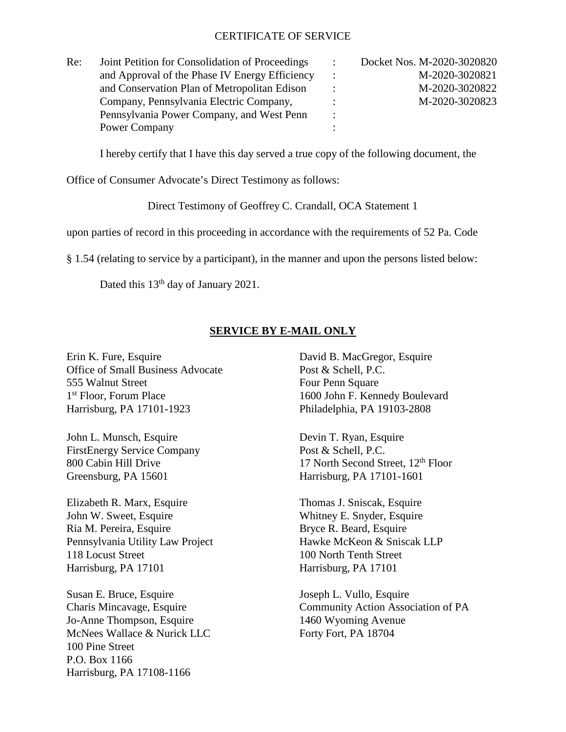## CERTIFICATE OF SERVICE

| Re: | Joint Petition for Consolidation of Proceedings | $\ddot{\phantom{0}}$ | Docket Nos. M-2020-3020820 |
|-----|-------------------------------------------------|----------------------|----------------------------|
|     | and Approval of the Phase IV Energy Efficiency  | $\ddot{\phantom{0}}$ | M-2020-3020821             |
|     | and Conservation Plan of Metropolitan Edison    |                      | M-2020-3020822             |
|     | Company, Pennsylvania Electric Company,         |                      | M-2020-3020823             |
|     | Pennsylvania Power Company, and West Penn       | $\ddot{\cdot}$       |                            |
|     | Power Company                                   |                      |                            |

I hereby certify that I have this day served a true copy of the following document, the

Office of Consumer Advocate's Direct Testimony as follows:

Direct Testimony of Geoffrey C. Crandall, OCA Statement 1

upon parties of record in this proceeding in accordance with the requirements of 52 Pa. Code

§ 1.54 (relating to service by a participant), in the manner and upon the persons listed below:

Dated this 13<sup>th</sup> day of January 2021.

## **SERVICE BY E-MAIL ONLY**

Erin K. Fure, Esquire David B. MacGregor, Esquire Office of Small Business Advocate Post & Schell, P.C. 555 Walnut Street Four Penn Square 1<sup>st</sup> Floor, Forum Place 1600 John F. Kennedy Boulevard Harrisburg, PA 17101-1923 Philadelphia, PA 19103-2808

John L. Munsch, Esquire Devin T. Ryan, Esquire FirstEnergy Service Company Post & Schell, P.C. Greensburg, PA 15601 Harrisburg, PA 17101-1601

Elizabeth R. Marx, Esquire Thomas J. Sniscak, Esquire John W. Sweet, Esquire Whitney E. Snyder, Esquire Ria M. Pereira, Esquire Bryce R. Beard, Esquire Pennsylvania Utility Law Project Hawke McKeon & Sniscak LLP 118 Locust Street 100 North Tenth Street Harrisburg, PA 17101 Harrisburg, PA 17101

Susan E. Bruce, Esquire Joseph L. Vullo, Esquire Jo-Anne Thompson, Esquire 1460 Wyoming Avenue McNees Wallace & Nurick LLC Forty Fort, PA 18704 100 Pine Street P.O. Box 1166 Harrisburg, PA 17108-1166

800 Cabin Hill Drive 17 North Second Street,  $12<sup>th</sup>$  Floor

Charis Mincavage, Esquire Community Action Association of PA